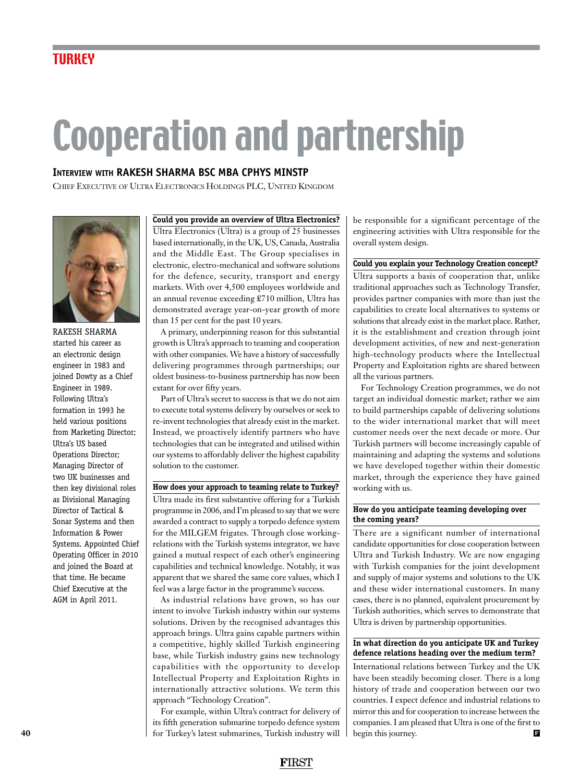## Cooperation and partnership

#### **Interview with Rakesh Sharma BSc MBA CPhys MInstP**

Chief Executive of Ultra Electronics Holdings PLC, United Kingdom



Rakesh Sharma started his career as an electronic design engineer in 1983 and joined Dowty as a Chief Engineer in 1989. Following Ultra's formation in 1993 he held various positions from Marketing Director; Ultra's US based Operations Director; Managing Director of two UK businesses and then key divisional roles as Divisional Managing Director of Tactical & Sonar Systems and then Information & Power Systems. Appointed Chief Operating Officer in 2010 and joined the Board at that time. He became Chief Executive at the AGM in April 2011.

**Could you provide an overview of Ultra Electronics?**

Ultra Electronics (Ultra) is a group of 25 businesses based internationally, in the UK, US, Canada, Australia and the Middle East. The Group specialises in electronic, electro-mechanical and software solutions for the defence, security, transport and energy markets. With over 4,500 employees worldwide and an annual revenue exceeding £710 million, Ultra has demonstrated average year-on-year growth of more than 15 per cent for the past 10 years.

A primary, underpinning reason for this substantial growth is Ultra's approach to teaming and cooperation with other companies. We have a history of successfully delivering programmes through partnerships; our oldest business-to-business partnership has now been extant for over fifty years.

Part of Ultra's secret to success is that we do not aim to execute total systems delivery by ourselves or seek to re-invent technologies that already exist in the market. Instead, we proactively identify partners who have technologies that can be integrated and utilised within our systems to affordably deliver the highest capability solution to the customer.

#### **How does your approach to teaming relate to Turkey?**

Ultra made its first substantive offering for a Turkish programme in 2006, and I'm pleased to say that we were awarded a contract to supply a torpedo defence system for the MILGEM frigates. Through close workingrelations with the Turkish systems integrator, we have gained a mutual respect of each other's engineering capabilities and technical knowledge. Notably, it was apparent that we shared the same core values, which I feel was a large factor in the programme's success.

As industrial relations have grown, so has our intent to involve Turkish industry within our systems solutions. Driven by the recognised advantages this approach brings. Ultra gains capable partners within a competitive, highly skilled Turkish engineering base, while Turkish industry gains new technology capabilities with the opportunity to develop Intellectual Property and Exploitation Rights in internationally attractive solutions. We term this approach "Technology Creation".

For example, within Ultra's contract for delivery of its fifth generation submarine torpedo defence system for Turkey's latest submarines, Turkish industry will be responsible for a significant percentage of the engineering activities with Ultra responsible for the overall system design.

#### **Could you explain your Technology Creation concept?**

Ultra supports a basis of cooperation that, unlike traditional approaches such as Technology Transfer, provides partner companies with more than just the capabilities to create local alternatives to systems or solutions that already exist in the market place. Rather, it is the establishment and creation through joint development activities, of new and next-generation high-technology products where the Intellectual Property and Exploitation rights are shared between all the various partners.

For Technology Creation programmes, we do not target an individual domestic market; rather we aim to build partnerships capable of delivering solutions to the wider international market that will meet customer needs over the next decade or more. Our Turkish partners will become increasingly capable of maintaining and adapting the systems and solutions we have developed together within their domestic market, through the experience they have gained working with us.

#### **How do you anticipate teaming developing over the coming years?**

There are a significant number of international candidate opportunities for close cooperation between Ultra and Turkish Industry. We are now engaging with Turkish companies for the joint development and supply of major systems and solutions to the UK and these wider international customers. In many cases, there is no planned, equivalent procurement by Turkish authorities, which serves to demonstrate that Ultra is driven by partnership opportunities.

#### **In what direction do you anticipate UK and Turkey defence relations heading over the medium term?**

International relations between Turkey and the UK have been steadily becoming closer. There is a long history of trade and cooperation between our two countries. I expect defence and industrial relations to mirror this and for cooperation to increase between the companies. I am pleased that Ultra is one of the first to begin this journey. **<sup>F</sup>**